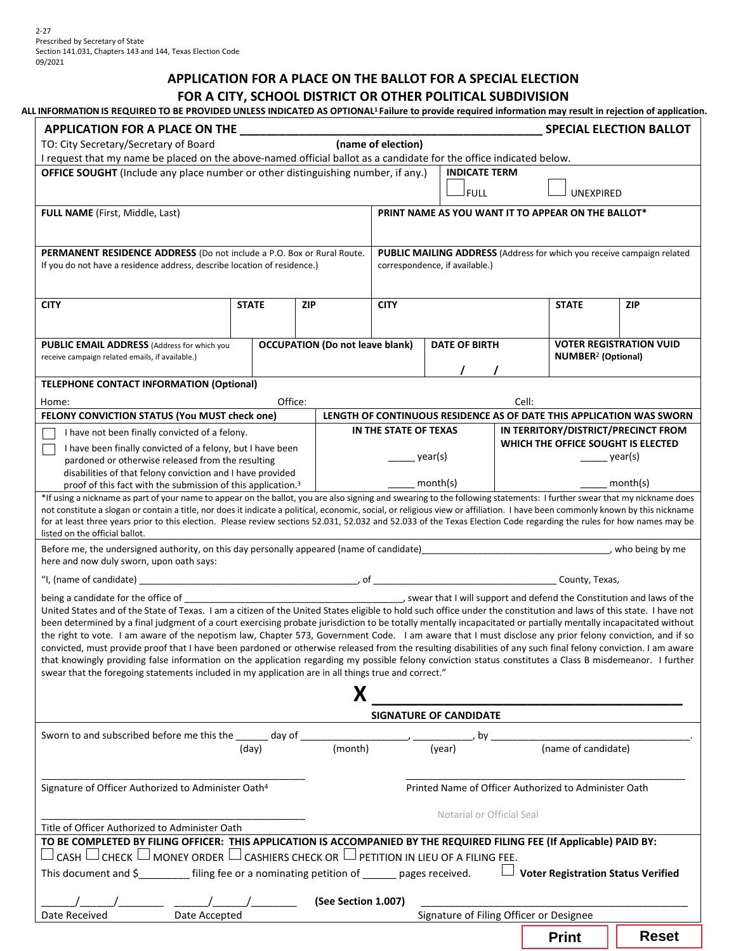# **APPLICATION FOR A PLACE ON THE BALLOT FOR A SPECIAL ELECTION**

# **FOR A CITY, SCHOOL DISTRICT OR OTHER POLITICAL SUBDIVISION**

| ALL INFORMATION IS REQUIRED TO BE PROVIDED UNLESS INDICATED AS OPTIONAL <sup>1</sup> Failure to provide required information may result in rejection of application.                                                                                                                                                     |                            |                                                    |                                                       |                       |                      |                                |                                                                                                             |                                      |                                                                        |  |  |
|--------------------------------------------------------------------------------------------------------------------------------------------------------------------------------------------------------------------------------------------------------------------------------------------------------------------------|----------------------------|----------------------------------------------------|-------------------------------------------------------|-----------------------|----------------------|--------------------------------|-------------------------------------------------------------------------------------------------------------|--------------------------------------|------------------------------------------------------------------------|--|--|
| (name of election)<br>TO: City Secretary/Secretary of Board                                                                                                                                                                                                                                                              |                            |                                                    |                                                       |                       |                      |                                |                                                                                                             |                                      | <b>SPECIAL ELECTION BALLOT</b>                                         |  |  |
| I request that my name be placed on the above-named official ballot as a candidate for the office indicated below.                                                                                                                                                                                                       |                            |                                                    |                                                       |                       |                      |                                |                                                                                                             |                                      |                                                                        |  |  |
| <b>OFFICE SOUGHT</b> (Include any place number or other distinguishing number, if any.)                                                                                                                                                                                                                                  |                            |                                                    |                                                       |                       |                      | <b>INDICATE TERM</b>           |                                                                                                             |                                      |                                                                        |  |  |
|                                                                                                                                                                                                                                                                                                                          |                            |                                                    |                                                       |                       |                      |                                |                                                                                                             |                                      |                                                                        |  |  |
|                                                                                                                                                                                                                                                                                                                          |                            |                                                    |                                                       | FULL                  |                      | <b>UNEXPIRED</b>               |                                                                                                             |                                      |                                                                        |  |  |
| <b>FULL NAME</b> (First, Middle, Last)                                                                                                                                                                                                                                                                                   |                            | PRINT NAME AS YOU WANT IT TO APPEAR ON THE BALLOT* |                                                       |                       |                      |                                |                                                                                                             |                                      |                                                                        |  |  |
|                                                                                                                                                                                                                                                                                                                          |                            |                                                    |                                                       |                       |                      |                                |                                                                                                             |                                      |                                                                        |  |  |
|                                                                                                                                                                                                                                                                                                                          |                            |                                                    |                                                       |                       |                      |                                |                                                                                                             |                                      |                                                                        |  |  |
| PERMANENT RESIDENCE ADDRESS (Do not include a P.O. Box or Rural Route.<br>If you do not have a residence address, describe location of residence.)                                                                                                                                                                       |                            |                                                    |                                                       |                       |                      | correspondence, if available.) |                                                                                                             |                                      | PUBLIC MAILING ADDRESS (Address for which you receive campaign related |  |  |
|                                                                                                                                                                                                                                                                                                                          |                            |                                                    |                                                       |                       |                      |                                |                                                                                                             |                                      |                                                                        |  |  |
|                                                                                                                                                                                                                                                                                                                          |                            |                                                    |                                                       |                       |                      |                                |                                                                                                             |                                      |                                                                        |  |  |
| <b>CITY</b>                                                                                                                                                                                                                                                                                                              | <b>STATE</b><br><b>ZIP</b> |                                                    |                                                       | <b>CITY</b>           |                      |                                | <b>STATE</b>                                                                                                | <b>ZIP</b>                           |                                                                        |  |  |
|                                                                                                                                                                                                                                                                                                                          |                            |                                                    |                                                       |                       |                      |                                |                                                                                                             |                                      |                                                                        |  |  |
|                                                                                                                                                                                                                                                                                                                          |                            |                                                    |                                                       |                       |                      |                                |                                                                                                             |                                      |                                                                        |  |  |
| <b>PUBLIC EMAIL ADDRESS</b> (Address for which you<br>receive campaign related emails, if available.)                                                                                                                                                                                                                    |                            |                                                    | <b>OCCUPATION (Do not leave blank)</b>                |                       | <b>DATE OF BIRTH</b> |                                |                                                                                                             |                                      | <b>VOTER REGISTRATION VUID</b>                                         |  |  |
|                                                                                                                                                                                                                                                                                                                          |                            |                                                    |                                                       |                       |                      |                                |                                                                                                             | <b>NUMBER<sup>2</sup></b> (Optional) |                                                                        |  |  |
| <b>TELEPHONE CONTACT INFORMATION (Optional)</b>                                                                                                                                                                                                                                                                          |                            |                                                    |                                                       |                       |                      |                                |                                                                                                             |                                      |                                                                        |  |  |
|                                                                                                                                                                                                                                                                                                                          |                            | Office:                                            |                                                       |                       |                      |                                |                                                                                                             |                                      |                                                                        |  |  |
| Home:<br>FELONY CONVICTION STATUS (You MUST check one)                                                                                                                                                                                                                                                                   |                            |                                                    |                                                       |                       |                      |                                | Cell:                                                                                                       |                                      |                                                                        |  |  |
| I have not been finally convicted of a felony.                                                                                                                                                                                                                                                                           |                            |                                                    |                                                       | IN THE STATE OF TEXAS |                      |                                | LENGTH OF CONTINUOUS RESIDENCE AS OF DATE THIS APPLICATION WAS SWORN<br>IN TERRITORY/DISTRICT/PRECINCT FROM |                                      |                                                                        |  |  |
| I have been finally convicted of a felony, but I have been                                                                                                                                                                                                                                                               |                            |                                                    |                                                       |                       |                      |                                | WHICH THE OFFICE SOUGHT IS ELECTED                                                                          |                                      |                                                                        |  |  |
| pardoned or otherwise released from the resulting                                                                                                                                                                                                                                                                        |                            |                                                    |                                                       | year(s)               |                      |                                |                                                                                                             | $\frac{1}{\sqrt{2}}$ year(s)         |                                                                        |  |  |
| disabilities of that felony conviction and I have provided                                                                                                                                                                                                                                                               |                            |                                                    |                                                       |                       |                      |                                |                                                                                                             |                                      |                                                                        |  |  |
| proof of this fact with the submission of this application. <sup>3</sup>                                                                                                                                                                                                                                                 |                            |                                                    |                                                       | month(s)              |                      |                                | month(s)                                                                                                    |                                      |                                                                        |  |  |
| *If using a nickname as part of your name to appear on the ballot, you are also signing and swearing to the following statements: I further swear that my nickname does                                                                                                                                                  |                            |                                                    |                                                       |                       |                      |                                |                                                                                                             |                                      |                                                                        |  |  |
| not constitute a slogan or contain a title, nor does it indicate a political, economic, social, or religious view or affiliation. I have been commonly known by this nickname                                                                                                                                            |                            |                                                    |                                                       |                       |                      |                                |                                                                                                             |                                      |                                                                        |  |  |
| for at least three years prior to this election. Please review sections 52.031, 52.032 and 52.033 of the Texas Election Code regarding the rules for how names may be                                                                                                                                                    |                            |                                                    |                                                       |                       |                      |                                |                                                                                                             |                                      |                                                                        |  |  |
| listed on the official ballot.                                                                                                                                                                                                                                                                                           |                            |                                                    |                                                       |                       |                      |                                |                                                                                                             |                                      |                                                                        |  |  |
| Before me, the undersigned authority, on this day personally appeared (name of candidate)<br>ywho being by me<br>here and now duly sworn, upon oath says:                                                                                                                                                                |                            |                                                    |                                                       |                       |                      |                                |                                                                                                             |                                      |                                                                        |  |  |
|                                                                                                                                                                                                                                                                                                                          |                            |                                                    |                                                       |                       |                      |                                |                                                                                                             |                                      |                                                                        |  |  |
|                                                                                                                                                                                                                                                                                                                          |                            |                                                    |                                                       |                       |                      |                                |                                                                                                             |                                      |                                                                        |  |  |
|                                                                                                                                                                                                                                                                                                                          |                            |                                                    |                                                       |                       |                      |                                |                                                                                                             |                                      | swear that I will support and defend the Constitution and laws of the  |  |  |
| United States and of the State of Texas. I am a citizen of the United States eligible to hold such office under the constitution and laws of this state. I have not                                                                                                                                                      |                            |                                                    |                                                       |                       |                      |                                |                                                                                                             |                                      |                                                                        |  |  |
| been determined by a final judgment of a court exercising probate jurisdiction to be totally mentally incapacitated or partially mentally incapacitated without                                                                                                                                                          |                            |                                                    |                                                       |                       |                      |                                |                                                                                                             |                                      |                                                                        |  |  |
| the right to vote. I am aware of the nepotism law, Chapter 573, Government Code. I am aware that I must disclose any prior felony conviction, and if so<br>convicted, must provide proof that I have been pardoned or otherwise released from the resulting disabilities of any such final felony conviction. I am aware |                            |                                                    |                                                       |                       |                      |                                |                                                                                                             |                                      |                                                                        |  |  |
| that knowingly providing false information on the application regarding my possible felony conviction status constitutes a Class B misdemeanor. I further                                                                                                                                                                |                            |                                                    |                                                       |                       |                      |                                |                                                                                                             |                                      |                                                                        |  |  |
| swear that the foregoing statements included in my application are in all things true and correct."                                                                                                                                                                                                                      |                            |                                                    |                                                       |                       |                      |                                |                                                                                                             |                                      |                                                                        |  |  |
|                                                                                                                                                                                                                                                                                                                          |                            |                                                    | X                                                     |                       |                      |                                |                                                                                                             |                                      |                                                                        |  |  |
|                                                                                                                                                                                                                                                                                                                          |                            |                                                    |                                                       |                       |                      |                                |                                                                                                             |                                      |                                                                        |  |  |
|                                                                                                                                                                                                                                                                                                                          |                            | <b>SIGNATURE OF CANDIDATE</b>                      |                                                       |                       |                      |                                |                                                                                                             |                                      |                                                                        |  |  |
|                                                                                                                                                                                                                                                                                                                          |                            |                                                    |                                                       |                       |                      |                                |                                                                                                             |                                      |                                                                        |  |  |
| Sworn to and subscribed before me this the $\frac{1}{(day)}$ day of $\frac{1}{(month)}$ $\frac{1}{(year)}$ , by $\frac{1}{(160)(1000)}$ (name of candidate)                                                                                                                                                              |                            |                                                    |                                                       |                       |                      |                                |                                                                                                             |                                      |                                                                        |  |  |
|                                                                                                                                                                                                                                                                                                                          |                            |                                                    |                                                       |                       |                      |                                |                                                                                                             |                                      |                                                                        |  |  |
|                                                                                                                                                                                                                                                                                                                          |                            |                                                    |                                                       |                       |                      |                                |                                                                                                             |                                      |                                                                        |  |  |
| Signature of Officer Authorized to Administer Oath <sup>4</sup>                                                                                                                                                                                                                                                          |                            |                                                    | Printed Name of Officer Authorized to Administer Oath |                       |                      |                                |                                                                                                             |                                      |                                                                        |  |  |
|                                                                                                                                                                                                                                                                                                                          |                            |                                                    |                                                       |                       |                      |                                |                                                                                                             |                                      |                                                                        |  |  |
| Title of Officer Authorized to Administer Oath                                                                                                                                                                                                                                                                           |                            |                                                    |                                                       |                       |                      | Notarial or Official Seal      |                                                                                                             |                                      |                                                                        |  |  |
| TO BE COMPLETED BY FILING OFFICER: THIS APPLICATION IS ACCOMPANIED BY THE REQUIRED FILING FEE (If Applicable) PAID BY:                                                                                                                                                                                                   |                            |                                                    |                                                       |                       |                      |                                |                                                                                                             |                                      |                                                                        |  |  |
| CASH $\Box$ CHECK $\Box$ MONEY ORDER $\Box$ CASHIERS CHECK OR $\Box$ PETITION IN LIEU OF A FILING FEE.                                                                                                                                                                                                                   |                            |                                                    |                                                       |                       |                      |                                |                                                                                                             |                                      |                                                                        |  |  |
|                                                                                                                                                                                                                                                                                                                          |                            |                                                    |                                                       |                       |                      |                                |                                                                                                             |                                      |                                                                        |  |  |
| This document and \$__________ filing fee or a nominating petition of ______ pages received.                                                                                                                                                                                                                             |                            |                                                    |                                                       |                       |                      |                                |                                                                                                             |                                      | $\Box$ Voter Registration Status Verified                              |  |  |
|                                                                                                                                                                                                                                                                                                                          |                            |                                                    |                                                       |                       |                      |                                |                                                                                                             |                                      |                                                                        |  |  |
|                                                                                                                                                                                                                                                                                                                          |                            |                                                    | (See Section 1.007)                                   |                       |                      |                                | Signature of Filing Officer or Designee                                                                     |                                      |                                                                        |  |  |
| Date Received<br>Date Accepted                                                                                                                                                                                                                                                                                           |                            |                                                    |                                                       |                       |                      |                                |                                                                                                             |                                      |                                                                        |  |  |
|                                                                                                                                                                                                                                                                                                                          |                            |                                                    |                                                       |                       |                      |                                |                                                                                                             | <b>Print</b>                         | <b>Reset</b>                                                           |  |  |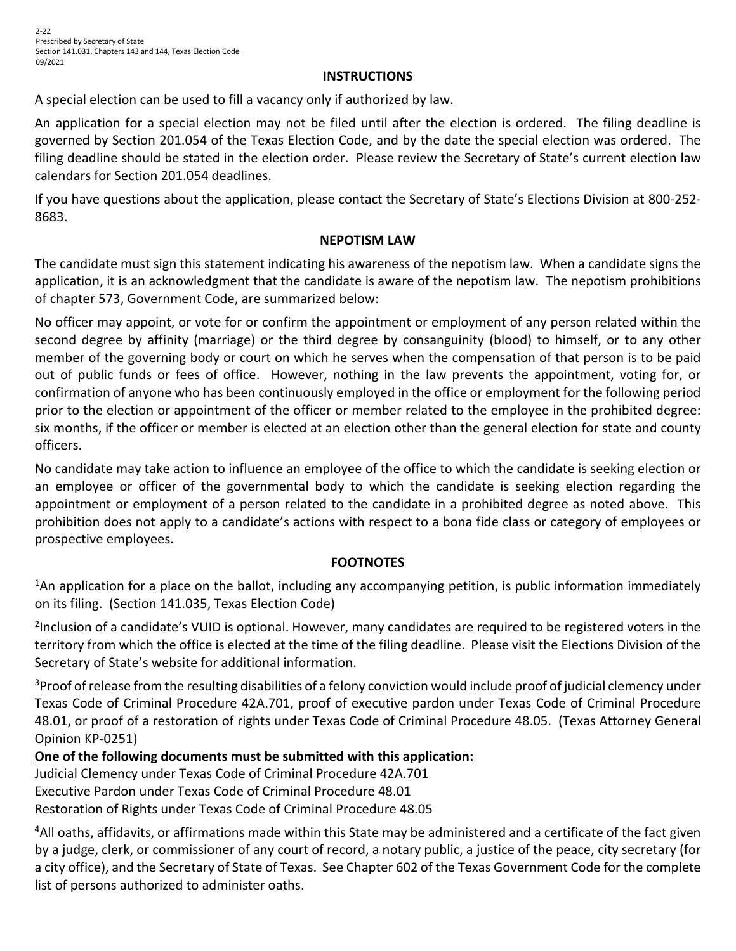## **INSTRUCTIONS**

A special election can be used to fill a vacancy only if authorized by law.

An application for a special election may not be filed until after the election is ordered. The filing deadline is governed by Section 201.054 of the Texas Election Code, and by the date the special election was ordered. The filing deadline should be stated in the election order. Please review the Secretary of State's current election law calendars for Section 201.054 deadlines.

If you have questions about the application, please contact the Secretary of State's Elections Division at 800-252- 8683.

# **NEPOTISM LAW**

The candidate must sign this statement indicating his awareness of the nepotism law. When a candidate signs the application, it is an acknowledgment that the candidate is aware of the nepotism law. The nepotism prohibitions of chapter 573, Government Code, are summarized below:

No officer may appoint, or vote for or confirm the appointment or employment of any person related within the second degree by affinity (marriage) or the third degree by consanguinity (blood) to himself, or to any other member of the governing body or court on which he serves when the compensation of that person is to be paid out of public funds or fees of office. However, nothing in the law prevents the appointment, voting for, or confirmation of anyone who has been continuously employed in the office or employment for the following period prior to the election or appointment of the officer or member related to the employee in the prohibited degree: six months, if the officer or member is elected at an election other than the general election for state and county officers.

No candidate may take action to influence an employee of the office to which the candidate is seeking election or an employee or officer of the governmental body to which the candidate is seeking election regarding the appointment or employment of a person related to the candidate in a prohibited degree as noted above. This prohibition does not apply to a candidate's actions with respect to a bona fide class or category of employees or prospective employees.

# **FOOTNOTES**

<sup>1</sup>An application for a place on the ballot, including any accompanying petition, is public information immediately on its filing. (Section 141.035, Texas Election Code)

<sup>2</sup>Inclusion of a candidate's VUID is optional. However, many candidates are required to be registered voters in the territory from which the office is elected at the time of the filing deadline. Please visit the Elections Division of the Secretary of State's website for additional information.

<sup>3</sup>Proof of release from the resulting disabilities of a felony conviction would include proof of judicial clemency under Texas Code of Criminal Procedure 42A.701, proof of executive pardon under Texas Code of Criminal Procedure 48.01, or proof of a restoration of rights under Texas Code of Criminal Procedure 48.05. (Texas Attorney General Opinion KP-0251)

# **One of the following documents must be submitted with this application:**

Judicial Clemency under Texas Code of Criminal Procedure 42A.701 Executive Pardon under Texas Code of Criminal Procedure 48.01 Restoration of Rights under Texas Code of Criminal Procedure 48.05

<sup>4</sup>All oaths, affidavits, or affirmations made within this State may be administered and a certificate of the fact given by a judge, clerk, or commissioner of any court of record, a notary public, a justice of the peace, city secretary (for a city office), and the Secretary of State of Texas. See Chapter 602 of the Texas Government Code for the complete list of persons authorized to administer oaths.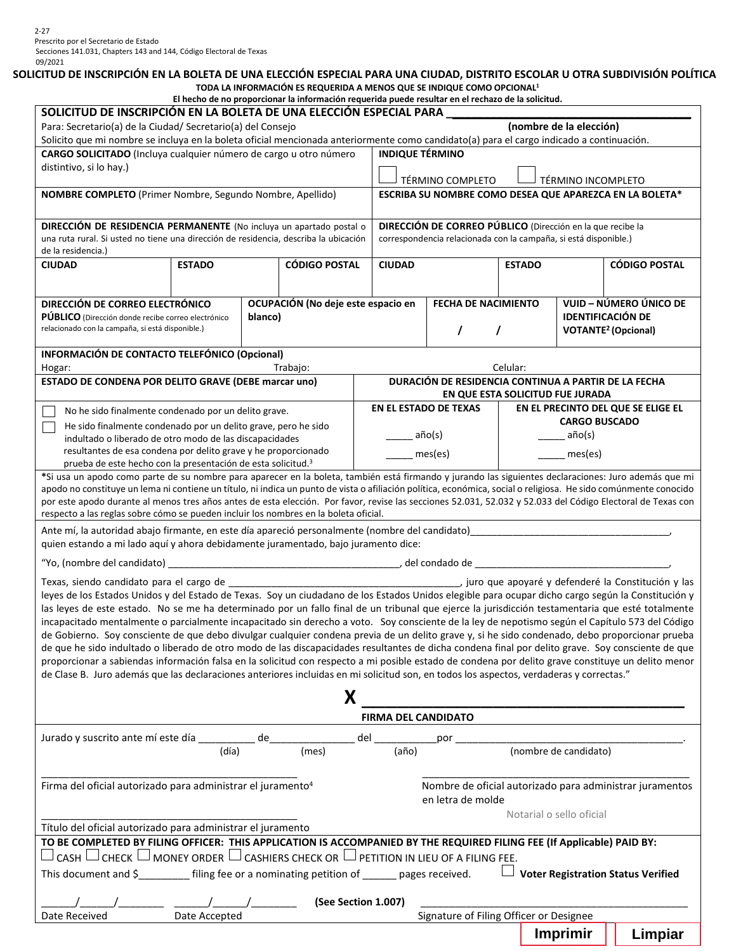#### **SOLICITUD DE INSCRIPCIÓN EN LA BOLETA DE UNA ELECCIÓN ESPECIAL PARA UNA CIUDAD, DISTRITO ESCOLAR U OTRA SUBDIVISIÓN POLÍTICA TODA LA INFORMACIÓN ES REQUERIDA A MENOS QUE SE INDIQUE COMO OPCIONAL1**

|                                                                                                                                                                                                                                                                                                         |                                                                                      |         | El hecho de no proporcionar la información requerida puede resultar en el rechazo de la solicitud. |  |                                                                   |                                                                  |                            |                          |                                       |  |  |  |
|---------------------------------------------------------------------------------------------------------------------------------------------------------------------------------------------------------------------------------------------------------------------------------------------------------|--------------------------------------------------------------------------------------|---------|----------------------------------------------------------------------------------------------------|--|-------------------------------------------------------------------|------------------------------------------------------------------|----------------------------|--------------------------|---------------------------------------|--|--|--|
| SOLICITUD DE INSCRIPCIÓN EN LA BOLETA DE UNA ELECCIÓN ESPECIAL PARA                                                                                                                                                                                                                                     |                                                                                      |         |                                                                                                    |  |                                                                   |                                                                  |                            |                          |                                       |  |  |  |
| (nombre de la elección)<br>Para: Secretario(a) de la Ciudad/ Secretario(a) del Consejo                                                                                                                                                                                                                  |                                                                                      |         |                                                                                                    |  |                                                                   |                                                                  |                            |                          |                                       |  |  |  |
| Solicito que mi nombre se incluya en la boleta oficial mencionada anteriormente como candidato(a) para el cargo indicado a continuación.                                                                                                                                                                |                                                                                      |         |                                                                                                    |  |                                                                   |                                                                  |                            |                          |                                       |  |  |  |
| CARGO SOLICITADO (Incluya cualquier número de cargo u otro número                                                                                                                                                                                                                                       | <b>INDIQUE TÉRMINO</b>                                                               |         |                                                                                                    |  |                                                                   |                                                                  |                            |                          |                                       |  |  |  |
| distintivo, si lo hay.)                                                                                                                                                                                                                                                                                 |                                                                                      |         |                                                                                                    |  |                                                                   |                                                                  |                            |                          |                                       |  |  |  |
|                                                                                                                                                                                                                                                                                                         |                                                                                      |         |                                                                                                    |  | TÉRMINO COMPLETO<br>TÉRMINO INCOMPLETO                            |                                                                  |                            |                          |                                       |  |  |  |
| NOMBRE COMPLETO (Primer Nombre, Segundo Nombre, Apellido)                                                                                                                                                                                                                                               |                                                                                      |         |                                                                                                    |  | ESCRIBA SU NOMBRE COMO DESEA QUE APAREZCA EN LA BOLETA*           |                                                                  |                            |                          |                                       |  |  |  |
|                                                                                                                                                                                                                                                                                                         |                                                                                      |         |                                                                                                    |  |                                                                   |                                                                  |                            |                          |                                       |  |  |  |
| DIRECCIÓN DE RESIDENCIA PERMANENTE (No incluya un apartado postal o                                                                                                                                                                                                                                     |                                                                                      |         |                                                                                                    |  | <b>DIRECCIÓN DE CORREO PÚBLICO</b> (Dirección en la que recibe la |                                                                  |                            |                          |                                       |  |  |  |
|                                                                                                                                                                                                                                                                                                         | una ruta rural. Si usted no tiene una dirección de residencia, describa la ubicación |         |                                                                                                    |  |                                                                   | correspondencia relacionada con la campaña, si está disponible.) |                            |                          |                                       |  |  |  |
| de la residencia.)                                                                                                                                                                                                                                                                                      |                                                                                      |         |                                                                                                    |  |                                                                   |                                                                  |                            |                          |                                       |  |  |  |
| <b>CIUDAD</b>                                                                                                                                                                                                                                                                                           | <b>ESTADO</b>                                                                        |         | <b>CÓDIGO POSTAL</b>                                                                               |  | <b>CIUDAD</b>                                                     |                                                                  | <b>ESTADO</b>              |                          | <b>CÓDIGO POSTAL</b>                  |  |  |  |
|                                                                                                                                                                                                                                                                                                         |                                                                                      |         |                                                                                                    |  |                                                                   |                                                                  |                            |                          |                                       |  |  |  |
|                                                                                                                                                                                                                                                                                                         |                                                                                      |         |                                                                                                    |  |                                                                   |                                                                  |                            |                          |                                       |  |  |  |
| DIRECCIÓN DE CORREO ELECTRÓNICO                                                                                                                                                                                                                                                                         |                                                                                      |         | OCUPACIÓN (No deje este espacio en                                                                 |  |                                                                   |                                                                  | <b>FECHA DE NACIMIENTO</b> |                          | VUID - NÚMERO ÚNICO DE                |  |  |  |
| <b>PUBLICO</b> (Dirección donde recibe correo electrónico                                                                                                                                                                                                                                               |                                                                                      | blanco) |                                                                                                    |  |                                                                   |                                                                  | <b>IDENTIFICACIÓN DE</b>   |                          |                                       |  |  |  |
| relacionado con la campaña, si está disponible.)                                                                                                                                                                                                                                                        |                                                                                      |         |                                                                                                    |  |                                                                   | T                                                                | T                          |                          | <b>VOTANTE<sup>2</sup></b> (Opcional) |  |  |  |
| INFORMACIÓN DE CONTACTO TELEFÓNICO (Opcional)                                                                                                                                                                                                                                                           |                                                                                      |         |                                                                                                    |  |                                                                   |                                                                  |                            |                          |                                       |  |  |  |
| Hogar:                                                                                                                                                                                                                                                                                                  |                                                                                      |         | Trabajo:                                                                                           |  |                                                                   |                                                                  | Celular:                   |                          |                                       |  |  |  |
| ESTADO DE CONDENA POR DELITO GRAVE (DEBE marcar uno)                                                                                                                                                                                                                                                    |                                                                                      |         |                                                                                                    |  |                                                                   | DURACIÓN DE RESIDENCIA CONTINUA A PARTIR DE LA FECHA             |                            |                          |                                       |  |  |  |
|                                                                                                                                                                                                                                                                                                         |                                                                                      |         |                                                                                                    |  |                                                                   |                                                                  |                            |                          |                                       |  |  |  |
|                                                                                                                                                                                                                                                                                                         |                                                                                      |         |                                                                                                    |  |                                                                   | EN QUE ESTA SOLICITUD FUE JURADA<br>EN EL ESTADO DE TEXAS        |                            |                          | EN EL PRECINTO DEL QUE SE ELIGE EL    |  |  |  |
| No he sido finalmente condenado por un delito grave.                                                                                                                                                                                                                                                    |                                                                                      |         |                                                                                                    |  |                                                                   |                                                                  |                            |                          |                                       |  |  |  |
| He sido finalmente condenado por un delito grave, pero he sido                                                                                                                                                                                                                                          |                                                                                      |         |                                                                                                    |  |                                                                   |                                                                  |                            | <b>CARGO BUSCADO</b>     |                                       |  |  |  |
| indultado o liberado de otro modo de las discapacidades                                                                                                                                                                                                                                                 |                                                                                      |         |                                                                                                    |  | año(s)                                                            |                                                                  |                            | $a\tilde{p}o(s)$         |                                       |  |  |  |
| resultantes de esa condena por delito grave y he proporcionado                                                                                                                                                                                                                                          |                                                                                      |         |                                                                                                    |  | $_{\mathsf{e}}$ mes(es)                                           |                                                                  |                            | mes(es)                  |                                       |  |  |  |
| prueba de este hecho con la presentación de esta solicitud. <sup>3</sup>                                                                                                                                                                                                                                |                                                                                      |         |                                                                                                    |  |                                                                   |                                                                  |                            |                          |                                       |  |  |  |
| *Si usa un apodo como parte de su nombre para aparecer en la boleta, también está firmando y jurando las siguientes declaraciones: Juro además que mi                                                                                                                                                   |                                                                                      |         |                                                                                                    |  |                                                                   |                                                                  |                            |                          |                                       |  |  |  |
| apodo no constituye un lema ni contiene un título, ni indica un punto de vista o afiliación política, económica, social o religiosa. He sido comúnmente conocido                                                                                                                                        |                                                                                      |         |                                                                                                    |  |                                                                   |                                                                  |                            |                          |                                       |  |  |  |
| por este apodo durante al menos tres años antes de esta elección. Por favor, revise las secciones 52.031, 52.032 y 52.033 del Código Electoral de Texas con                                                                                                                                             |                                                                                      |         |                                                                                                    |  |                                                                   |                                                                  |                            |                          |                                       |  |  |  |
| respecto a las reglas sobre cómo se pueden incluir los nombres en la boleta oficial.                                                                                                                                                                                                                    |                                                                                      |         |                                                                                                    |  |                                                                   |                                                                  |                            |                          |                                       |  |  |  |
| Ante mí, la autoridad abajo firmante, en este día apareció personalmente (nombre del candidato)                                                                                                                                                                                                         |                                                                                      |         |                                                                                                    |  |                                                                   |                                                                  |                            |                          |                                       |  |  |  |
| quien estando a mi lado aquí y ahora debidamente juramentado, bajo juramento dice:                                                                                                                                                                                                                      |                                                                                      |         |                                                                                                    |  |                                                                   |                                                                  |                            |                          |                                       |  |  |  |
|                                                                                                                                                                                                                                                                                                         |                                                                                      |         |                                                                                                    |  |                                                                   |                                                                  |                            |                          |                                       |  |  |  |
|                                                                                                                                                                                                                                                                                                         |                                                                                      |         |                                                                                                    |  |                                                                   |                                                                  |                            |                          |                                       |  |  |  |
| leyes de los Estados Unidos y del Estado de Texas. Soy un ciudadano de los Estados Unidos elegible para ocupar dicho cargo según la Constitución y                                                                                                                                                      |                                                                                      |         |                                                                                                    |  |                                                                   |                                                                  |                            |                          |                                       |  |  |  |
| las leyes de este estado. No se me ha determinado por un fallo final de un tribunal que ejerce la jurisdicción testamentaria que esté totalmente                                                                                                                                                        |                                                                                      |         |                                                                                                    |  |                                                                   |                                                                  |                            |                          |                                       |  |  |  |
| incapacitado mentalmente o parcialmente incapacitado sin derecho a voto. Soy consciente de la ley de nepotismo según el Capítulo 573 del Código                                                                                                                                                         |                                                                                      |         |                                                                                                    |  |                                                                   |                                                                  |                            |                          |                                       |  |  |  |
| de Gobierno. Soy consciente de que debo divulgar cualquier condena previa de un delito grave y, si he sido condenado, debo proporcionar prueba                                                                                                                                                          |                                                                                      |         |                                                                                                    |  |                                                                   |                                                                  |                            |                          |                                       |  |  |  |
|                                                                                                                                                                                                                                                                                                         |                                                                                      |         |                                                                                                    |  |                                                                   |                                                                  |                            |                          |                                       |  |  |  |
| de que he sido indultado o liberado de otro modo de las discapacidades resultantes de dicha condena final por delito grave. Soy consciente de que<br>proporcionar a sabiendas información falsa en la solicitud con respecto a mi posible estado de condena por delito grave constituye un delito menor |                                                                                      |         |                                                                                                    |  |                                                                   |                                                                  |                            |                          |                                       |  |  |  |
|                                                                                                                                                                                                                                                                                                         |                                                                                      |         |                                                                                                    |  |                                                                   |                                                                  |                            |                          |                                       |  |  |  |
| de Clase B. Juro además que las declaraciones anteriores incluidas en mi solicitud son, en todos los aspectos, verdaderas y correctas."                                                                                                                                                                 |                                                                                      |         |                                                                                                    |  |                                                                   |                                                                  |                            |                          |                                       |  |  |  |
|                                                                                                                                                                                                                                                                                                         |                                                                                      |         | X                                                                                                  |  |                                                                   |                                                                  |                            |                          |                                       |  |  |  |
|                                                                                                                                                                                                                                                                                                         |                                                                                      |         |                                                                                                    |  |                                                                   | FIRMA DEL CANDIDATO                                              |                            |                          |                                       |  |  |  |
|                                                                                                                                                                                                                                                                                                         |                                                                                      |         |                                                                                                    |  |                                                                   |                                                                  |                            |                          |                                       |  |  |  |
|                                                                                                                                                                                                                                                                                                         |                                                                                      |         |                                                                                                    |  |                                                                   |                                                                  |                            |                          |                                       |  |  |  |
|                                                                                                                                                                                                                                                                                                         |                                                                                      |         |                                                                                                    |  |                                                                   |                                                                  |                            |                          |                                       |  |  |  |
|                                                                                                                                                                                                                                                                                                         |                                                                                      |         |                                                                                                    |  |                                                                   |                                                                  |                            |                          |                                       |  |  |  |
|                                                                                                                                                                                                                                                                                                         |                                                                                      |         |                                                                                                    |  |                                                                   |                                                                  |                            |                          |                                       |  |  |  |
| Firma del oficial autorizado para administrar el juramento <sup>4</sup><br>Nombre de oficial autorizado para administrar juramentos<br>en letra de molde                                                                                                                                                |                                                                                      |         |                                                                                                    |  |                                                                   |                                                                  |                            |                          |                                       |  |  |  |
|                                                                                                                                                                                                                                                                                                         |                                                                                      |         |                                                                                                    |  |                                                                   |                                                                  |                            | Notarial o sello oficial |                                       |  |  |  |
| Título del oficial autorizado para administrar el juramento                                                                                                                                                                                                                                             |                                                                                      |         |                                                                                                    |  |                                                                   |                                                                  |                            |                          |                                       |  |  |  |
|                                                                                                                                                                                                                                                                                                         |                                                                                      |         |                                                                                                    |  |                                                                   |                                                                  |                            |                          |                                       |  |  |  |
| TO BE COMPLETED BY FILING OFFICER: THIS APPLICATION IS ACCOMPANIED BY THE REQUIRED FILING FEE (If Applicable) PAID BY:                                                                                                                                                                                  |                                                                                      |         |                                                                                                    |  |                                                                   |                                                                  |                            |                          |                                       |  |  |  |
| $\Box$ CASH $\Box$ CHECK $\Box$ MONEY ORDER $\Box$ CASHIERS CHECK OR $\Box$ PETITION IN LIEU OF A FILING FEE.                                                                                                                                                                                           |                                                                                      |         |                                                                                                    |  |                                                                   |                                                                  |                            |                          |                                       |  |  |  |
| This document and \$ ___________ filing fee or a nominating petition of _______ pages received.<br>$\Box$ Voter Registration Status Verified                                                                                                                                                            |                                                                                      |         |                                                                                                    |  |                                                                   |                                                                  |                            |                          |                                       |  |  |  |
|                                                                                                                                                                                                                                                                                                         |                                                                                      |         |                                                                                                    |  |                                                                   |                                                                  |                            |                          |                                       |  |  |  |
| (See Section 1.007)                                                                                                                                                                                                                                                                                     |                                                                                      |         |                                                                                                    |  |                                                                   |                                                                  |                            |                          |                                       |  |  |  |
| Date Received                                                                                                                                                                                                                                                                                           | Date Accepted                                                                        |         |                                                                                                    |  |                                                                   | Signature of Filing Officer or Designee                          |                            |                          |                                       |  |  |  |
|                                                                                                                                                                                                                                                                                                         |                                                                                      |         |                                                                                                    |  |                                                                   |                                                                  |                            | Imprimir                 | Limpiar                               |  |  |  |
|                                                                                                                                                                                                                                                                                                         |                                                                                      |         |                                                                                                    |  |                                                                   |                                                                  |                            |                          |                                       |  |  |  |